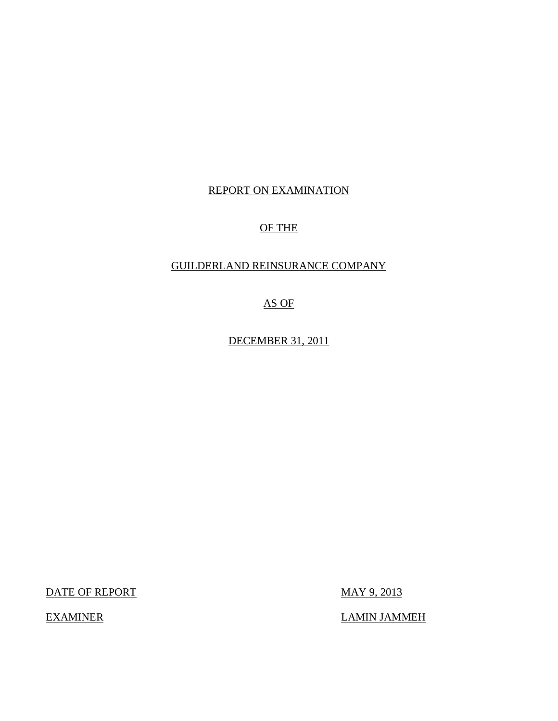# REPORT ON EXAMINATION

# OF THE

# GUILDERLAND REINSURANCE COMPANY

AS OF

DECEMBER 31, 2011

DATE OF REPORT MAY 9, 2013

EXAMINER LAMIN JAMMEH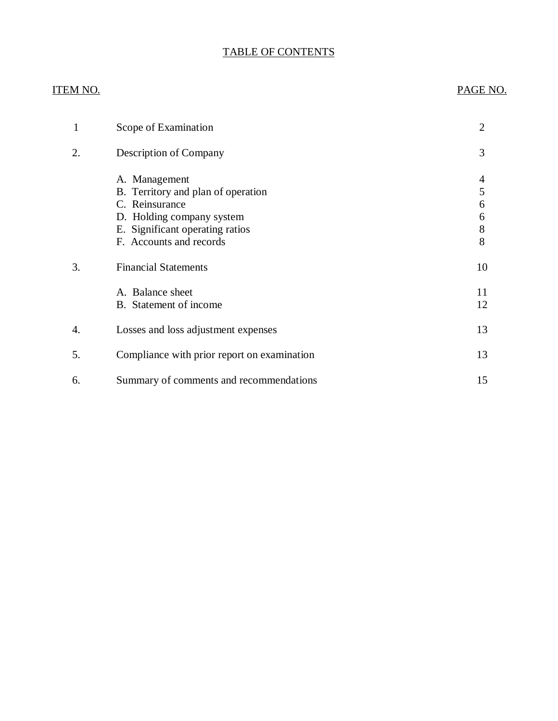# TABLE OF CONTENTS

# ITEM NO. PAGE NO.

| 1  | Scope of Examination                                                                                                                                             | 2                          |
|----|------------------------------------------------------------------------------------------------------------------------------------------------------------------|----------------------------|
| 2. | <b>Description of Company</b>                                                                                                                                    | 3                          |
|    | A. Management<br>B. Territory and plan of operation<br>C. Reinsurance<br>D. Holding company system<br>E. Significant operating ratios<br>F. Accounts and records | 4<br>5<br>6<br>6<br>8<br>8 |
| 3. | <b>Financial Statements</b>                                                                                                                                      | 10                         |
|    | A. Balance sheet<br>B. Statement of income                                                                                                                       | 11<br>12                   |
| 4. | Losses and loss adjustment expenses                                                                                                                              | 13                         |
| 5. | Compliance with prior report on examination                                                                                                                      | 13                         |
| 6. | Summary of comments and recommendations                                                                                                                          | 15                         |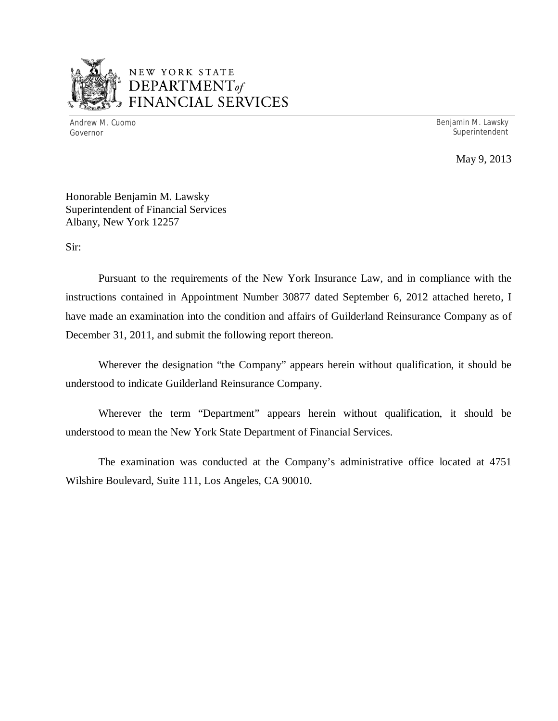

# NEW YORK STATE *DEPARTMENTof*  FINANCIAL SERVICES

Andrew M. Cuomo **Benjamin M. Lawsky** Governor Superintendent Superintendent Superintendent Superintendent Superintendent Superintendent Superintendent Superintendent Superintendent Superintendent Superintendent Superintendent Superintendent Superintendent Sup

May 9, 2013

Honorable Benjamin M. Lawsky Superintendent of Financial Services Albany, New York 12257

Sir:

Pursuant to the requirements of the New York Insurance Law, and in compliance with the instructions contained in Appointment Number 30877 dated September 6, 2012 attached hereto, I have made an examination into the condition and affairs of Guilderland Reinsurance Company as of December 31, 2011, and submit the following report thereon.

Wherever the designation "the Company" appears herein without qualification, it should be understood to indicate Guilderland Reinsurance Company.

Wherever the term "Department" appears herein without qualification, it should be understood to mean the New York State Department of Financial Services.

The examination was conducted at the Company's administrative office located at 4751 Wilshire Boulevard, Suite 111, Los Angeles, CA 90010.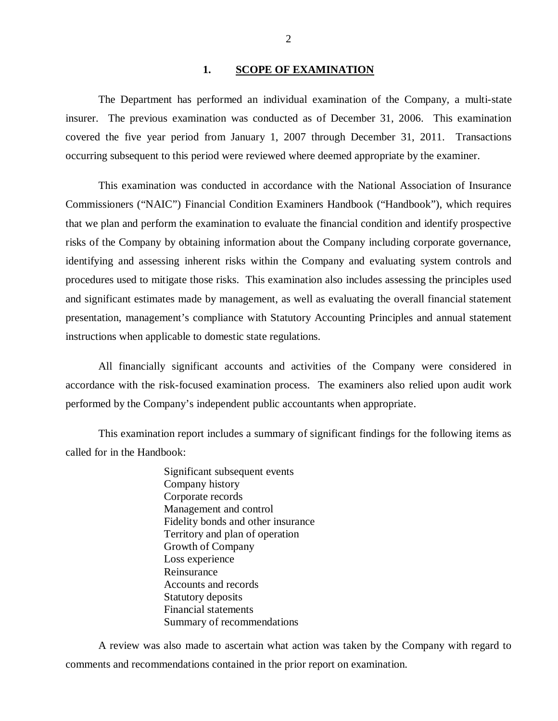## 1. **SCOPE OF EXAMINATION**

<span id="page-3-0"></span>The Department has performed an individual examination of the Company*,* a multi-state insurer. The previous examination was conducted as of December 31, 2006. This examination covered the five year period from January 1, 2007 through December 31, 2011. Transactions occurring subsequent to this period were reviewed where deemed appropriate by the examiner.

This examination was conducted in accordance with the National Association of Insurance Commissioners ("NAIC") Financial Condition Examiners Handbook ("Handbook"), which requires that we plan and perform the examination to evaluate the financial condition and identify prospective risks of the Company by obtaining information about the Company including corporate governance, identifying and assessing inherent risks within the Company and evaluating system controls and procedures used to mitigate those risks. This examination also includes assessing the principles used and significant estimates made by management, as well as evaluating the overall financial statement presentation, management's compliance with Statutory Accounting Principles and annual statement instructions when applicable to domestic state regulations.

All financially significant accounts and activities of the Company were considered in accordance with the risk-focused examination process. The examiners also relied upon audit work performed by the Company's independent public accountants when appropriate.

This examination report includes a summary of significant findings for the following items as called for in the Handbook:

> Significant subsequent events Company history Corporate records Management and control Fidelity bonds and other insurance Territory and plan of operation Growth of Company Loss experience Reinsurance Accounts and records Statutory deposits Financial statements Summary of recommendations

A review was also made to ascertain what action was taken by the Company with regard to comments and recommendations contained in the prior report on examination.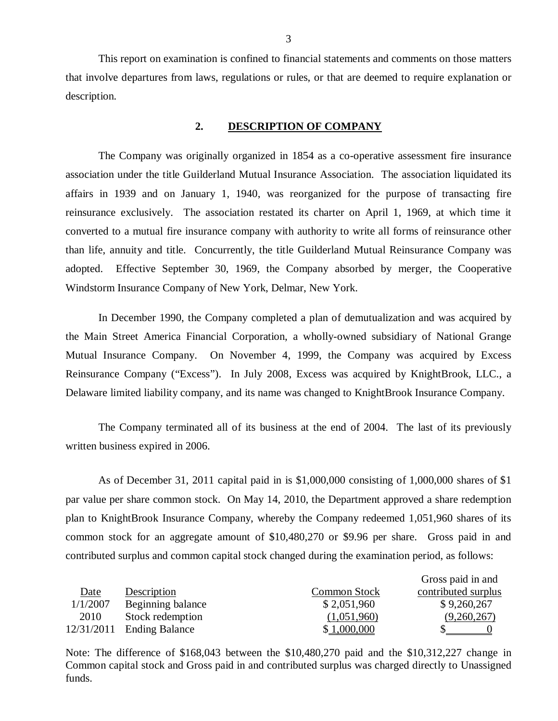This report on examination is confined to financial statements and comments on those matters that involve departures from laws, regulations or rules, or that are deemed to require explanation or description.

# **2. DESCRIPTION OF COMPANY**

The Company was originally organized in 1854 as a co-operative assessment fire insurance association under the title Guilderland Mutual Insurance Association. The association liquidated its affairs in 1939 and on January 1, 1940, was reorganized for the purpose of transacting fire reinsurance exclusively. The association restated its charter on April 1, 1969, at which time it converted to a mutual fire insurance company with authority to write all forms of reinsurance other than life, annuity and title. Concurrently, the title Guilderland Mutual Reinsurance Company was adopted. Effective September 30, 1969, the Company absorbed by merger, the Cooperative Windstorm Insurance Company of New York, Delmar, New York.

In December 1990, the Company completed a plan of demutualization and was acquired by the Main Street America Financial Corporation, a wholly-owned subsidiary of National Grange Mutual Insurance Company. On November 4, 1999, the Company was acquired by Excess Reinsurance Company ("Excess"). In July 2008, Excess was acquired by KnightBrook, LLC., a Delaware limited liability company, and its name was changed to KnightBrook Insurance Company.

The Company terminated all of its business at the end of 2004. The last of its previously written business expired in 2006.

As of December 31, 2011 capital paid in is \$1,000,000 consisting of 1,000,000 shares of \$1 par value per share common stock. On May 14, 2010, the Department approved a share redemption plan to KnightBrook Insurance Company, whereby the Company redeemed 1,051,960 shares of its common stock for an aggregate amount of \$10,480,270 or \$9.96 per share. Gross paid in and contributed surplus and common capital stock changed during the examination period, as follows:

|            |                       |                     | Gross paid in and   |
|------------|-----------------------|---------------------|---------------------|
| Date       | Description           | <b>Common Stock</b> | contributed surplus |
| 1/1/2007   | Beginning balance     | \$2,051,960         | \$9,260,267         |
| 2010       | Stock redemption      | (1,051,960)         | (9,260,267)         |
| 12/31/2011 | <b>Ending Balance</b> | \$1,000,000         |                     |

Note: The difference of \$168,043 between the \$10,480,270 paid and the \$10,312,227 change in Common capital stock and Gross paid in and contributed surplus was charged directly to Unassigned funds.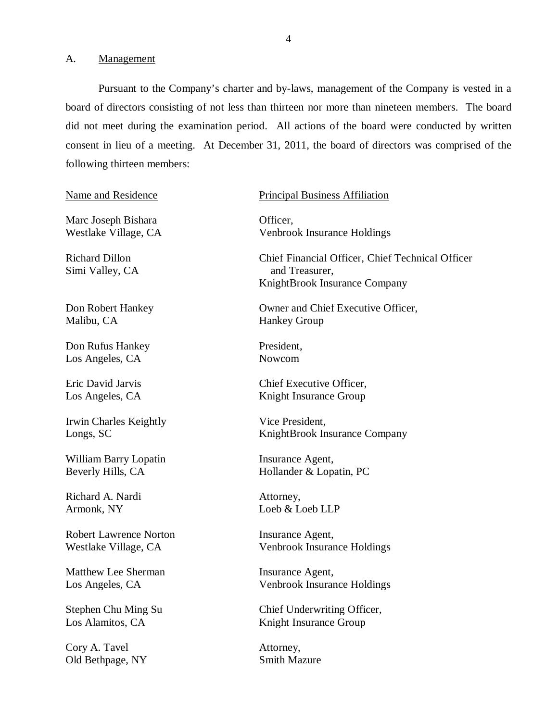<span id="page-5-0"></span>A. Management

Pursuant to the Company's charter and by-laws, management of the Company is vested in a board of directors consisting of not less than thirteen nor more than nineteen members. The board did not meet during the examination period. All actions of the board were conducted by written consent in lieu of a meeting. At December 31, 2011, the board of directors was comprised of the following thirteen members:

## Name and Residence

Marc Joseph Bishara Westlake Village, CA

Richard Dillon Simi Valley, CA

Don Robert Hankey Malibu, CA

Don Rufus Hankey Los Angeles, CA

Eric David Jarvis Los Angeles, CA

Irwin Charles Keightly Longs, SC

William Barry Lopatin Beverly Hills, CA

Richard A. Nardi Armonk, NY

Robert Lawrence Norton Westlake Village, CA

Matthew Lee Sherman Los Angeles, CA

Stephen Chu Ming Su Los Alamitos, CA

Cory A. Tavel Old Bethpage, NY

#### Principal Business Affiliation

Officer, Venbrook Insurance Holdings

Chief Financial Officer, Chief Technical Officer and Treasurer, KnightBrook Insurance Company

Owner and Chief Executive Officer, Hankey Group

President, Nowcom

Chief Executive Officer, Knight Insurance Group

Vice President, KnightBrook Insurance Company

Insurance Agent, Hollander & Lopatin, PC

Attorney, Loeb & Loeb LLP

Insurance Agent, Venbrook Insurance Holdings

Insurance Agent, Venbrook Insurance Holdings

Chief Underwriting Officer, Knight Insurance Group

Attorney, Smith Mazure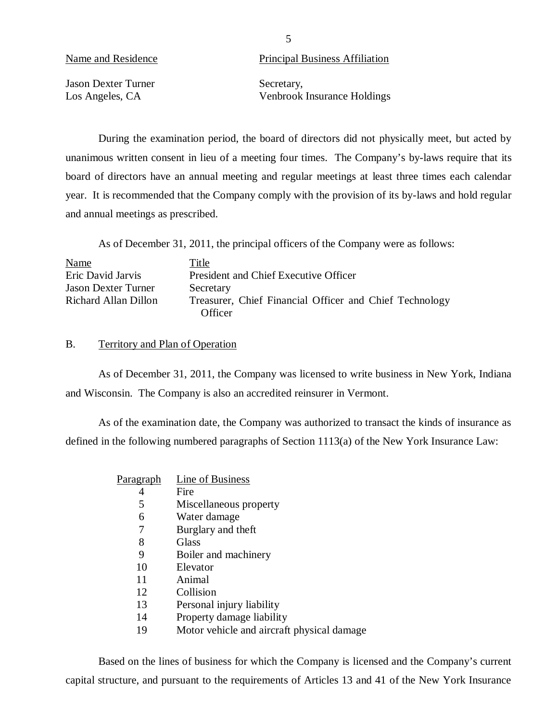**Jason Dexter Turner** Secretary,

<span id="page-6-0"></span>Name and Residence Principal Business Affiliation

Los Angeles, CA Venbrook Insurance Holdings

During the examination period, the board of directors did not physically meet, but acted by unanimous written consent in lieu of a meeting four times. The Company's by-laws require that its board of directors have an annual meeting and regular meetings at least three times each calendar year. It is recommended that the Company comply with the provision of its by-laws and hold regular and annual meetings as prescribed.

As of December 31, 2011, the principal officers of the Company were as follows:

| Name                       | Title                                                   |
|----------------------------|---------------------------------------------------------|
| Eric David Jarvis          | President and Chief Executive Officer                   |
| <b>Jason Dexter Turner</b> | Secretary                                               |
| Richard Allan Dillon       | Treasurer, Chief Financial Officer and Chief Technology |
|                            | Officer                                                 |

# B. Territory and Plan of Operation

As of December 31, 2011, the Company was licensed to write business in New York, Indiana and Wisconsin. The Company is also an accredited reinsurer in Vermont.

As of the examination date, the Company was authorized to transact the kinds of insurance as defined in the following numbered paragraphs of Section 1113(a) of the New York Insurance Law:

| <u>Paragraph</u> | Line of Business                           |
|------------------|--------------------------------------------|
| 4                | Fire                                       |
| 5                | Miscellaneous property                     |
| 6                | Water damage                               |
| 7                | Burglary and theft                         |
| 8                | Glass                                      |
| 9                | Boiler and machinery                       |
| 10               | Elevator                                   |
| 11               | Animal                                     |
| 12               | Collision                                  |
| 13               | Personal injury liability                  |
| 14               | Property damage liability                  |
| 19               | Motor vehicle and aircraft physical damage |

Based on the lines of business for which the Company is licensed and the Company's current capital structure, and pursuant to the requirements of Articles 13 and 41 of the New York Insurance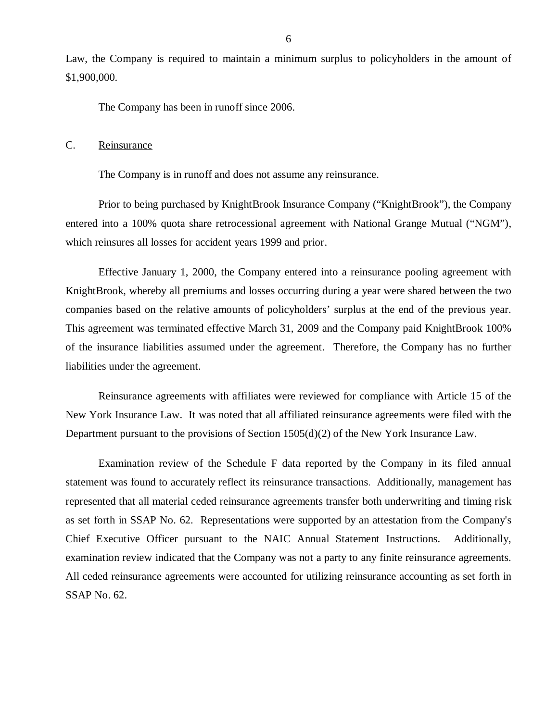<span id="page-7-0"></span>Law, the Company is required to maintain a minimum surplus to policyholders in the amount of \$1,900,000.

The Company has been in runoff since 2006.

C. Reinsurance

The Company is in runoff and does not assume any reinsurance.

Prior to being purchased by KnightBrook Insurance Company ("KnightBrook"), the Company entered into a 100% quota share retrocessional agreement with National Grange Mutual ("NGM"), which reinsures all losses for accident years 1999 and prior.

Effective January 1, 2000, the Company entered into a reinsurance pooling agreement with KnightBrook, whereby all premiums and losses occurring during a year were shared between the two companies based on the relative amounts of policyholders' surplus at the end of the previous year. This agreement was terminated effective March 31, 2009 and the Company paid KnightBrook 100% of the insurance liabilities assumed under the agreement. Therefore, the Company has no further liabilities under the agreement.

Reinsurance agreements with affiliates were reviewed for compliance with Article 15 of the New York Insurance Law. It was noted that all affiliated reinsurance agreements were filed with the Department pursuant to the provisions of Section 1505(d)(2) of the New York Insurance Law.

Examination review of the Schedule F data reported by the Company in its filed annual statement was found to accurately reflect its reinsurance transactions. Additionally, management has represented that all material ceded reinsurance agreements transfer both underwriting and timing risk as set forth in SSAP No. 62. Representations were supported by an attestation from the Company's Chief Executive Officer pursuant to the NAIC Annual Statement Instructions. Additionally, examination review indicated that the Company was not a party to any finite reinsurance agreements. All ceded reinsurance agreements were accounted for utilizing reinsurance accounting as set forth in SSAP No. 62.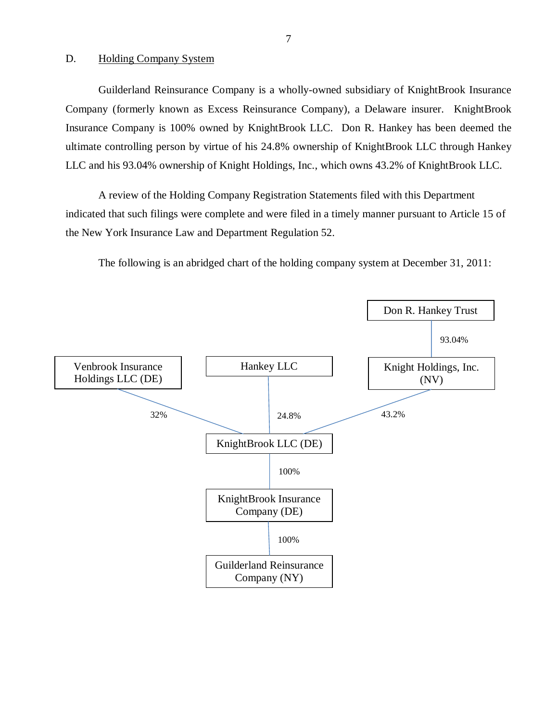# D. Holding Company System

Guilderland Reinsurance Company is a wholly-owned subsidiary of KnightBrook Insurance Company (formerly known as Excess Reinsurance Company), a Delaware insurer. KnightBrook Insurance Company is 100% owned by KnightBrook LLC. Don R. Hankey has been deemed the ultimate controlling person by virtue of his 24.8% ownership of KnightBrook LLC through Hankey LLC and his 93.04% ownership of Knight Holdings, Inc., which owns 43.2% of KnightBrook LLC.

A review of the Holding Company Registration Statements filed with this Department indicated that such filings were complete and were filed in a timely manner pursuant to Article 15 of the New York Insurance Law and Department Regulation 52.

The following is an abridged chart of the holding company system at December 31, 2011:

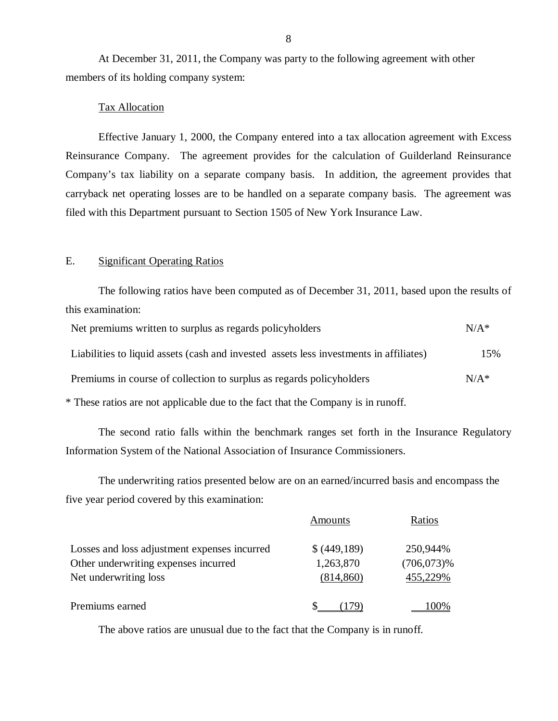At December 31, 2011, the Company was party to the following agreement with other members of its holding company system:

## Tax Allocation

Effective January 1, 2000, the Company entered into a tax allocation agreement with Excess Reinsurance Company. The agreement provides for the calculation of Guilderland Reinsurance Company's tax liability on a separate company basis. In addition, the agreement provides that carryback net operating losses are to be handled on a separate company basis. The agreement was filed with this Department pursuant to Section 1505 of New York Insurance Law.

# E. Significant Operating Ratios

The following ratios have been computed as of December 31, 2011, based upon the results of this examination:

| Net premiums written to surplus as regards policyholders                               | $N/A^*$ |
|----------------------------------------------------------------------------------------|---------|
| Liabilities to liquid assets (cash and invested assets less investments in affiliates) | 15%     |
| Premiums in course of collection to surplus as regards policyholders                   | $N/A^*$ |
|                                                                                        |         |

\* These ratios are not applicable due to the fact that the Company is in runoff.

The second ratio falls within the benchmark ranges set forth in the Insurance Regulatory Information System of the National Association of Insurance Commissioners.

The underwriting ratios presented below are on an earned/incurred basis and encompass the five year period covered by this examination:

|                                              | Amounts      | Ratios        |
|----------------------------------------------|--------------|---------------|
| Losses and loss adjustment expenses incurred | \$ (449,189) | 250,944%      |
| Other underwriting expenses incurred         | 1,263,870    | $(706,073)\%$ |
| Net underwriting loss                        | (814, 860)   | 455,229%      |
| Premiums earned                              |              |               |

The above ratios are unusual due to the fact that the Company is in runoff.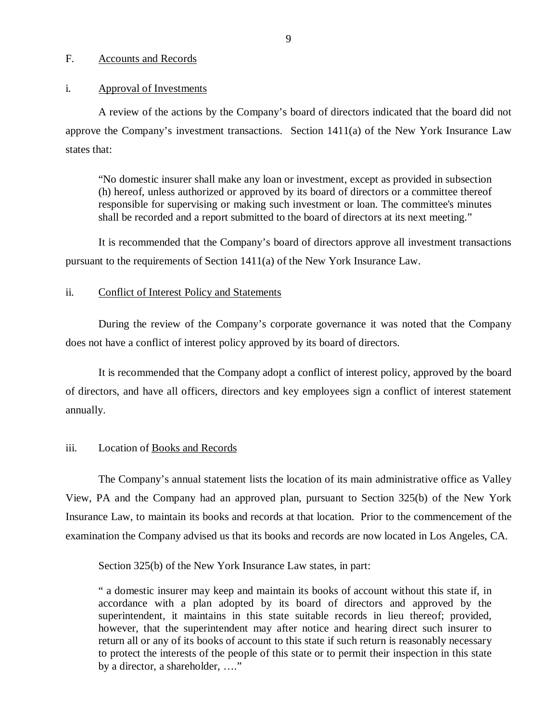#### F. Accounts and Records

#### i. Approval of Investments

A review of the actions by the Company's board of directors indicated that the board did not approve the Company's investment transactions. Section 1411(a) of the New York Insurance Law states that:

"No domestic insurer shall make any loan or investment, except as provided in subsection (h) hereof, unless authorized or approved by its board of directors or a committee thereof responsible for supervising or making such investment or loan. The committee's minutes shall be recorded and a report submitted to the board of directors at its next meeting."

It is recommended that the Company's board of directors approve all investment transactions pursuant to the requirements of Section 1411(a) of the New York Insurance Law.

# ii. Conflict of Interest Policy and Statements

During the review of the Company's corporate governance it was noted that the Company does not have a conflict of interest policy approved by its board of directors.

It is recommended that the Company adopt a conflict of interest policy, approved by the board of directors, and have all officers, directors and key employees sign a conflict of interest statement annually.

# iii. Location of Books and Records

The Company's annual statement lists the location of its main administrative office as Valley View, PA and the Company had an approved plan, pursuant to Section 325(b) of the New York Insurance Law, to maintain its books and records at that location. Prior to the commencement of the examination the Company advised us that its books and records are now located in Los Angeles, CA.

Section 325(b) of the New York Insurance Law states, in part:

" a domestic insurer may keep and maintain its books of account without this state if, in accordance with a plan adopted by its board of directors and approved by the superintendent, it maintains in this state suitable records in lieu thereof; provided, however, that the superintendent may after notice and hearing direct such insurer to return all or any of its books of account to this state if such return is reasonably necessary to protect the interests of the people of this state or to permit their inspection in this state by a director, a shareholder, …."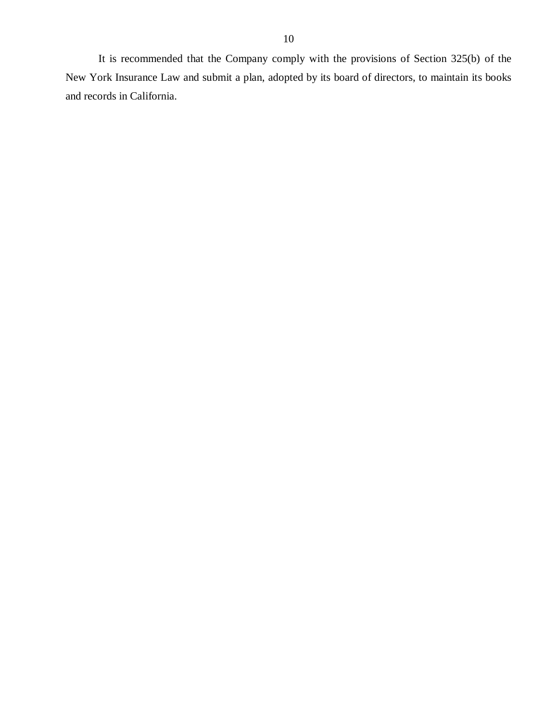<span id="page-11-0"></span>It is recommended that the Company comply with the provisions of Section 325(b) of the New York Insurance Law and submit a plan, adopted by its board of directors, to maintain its books and records in California.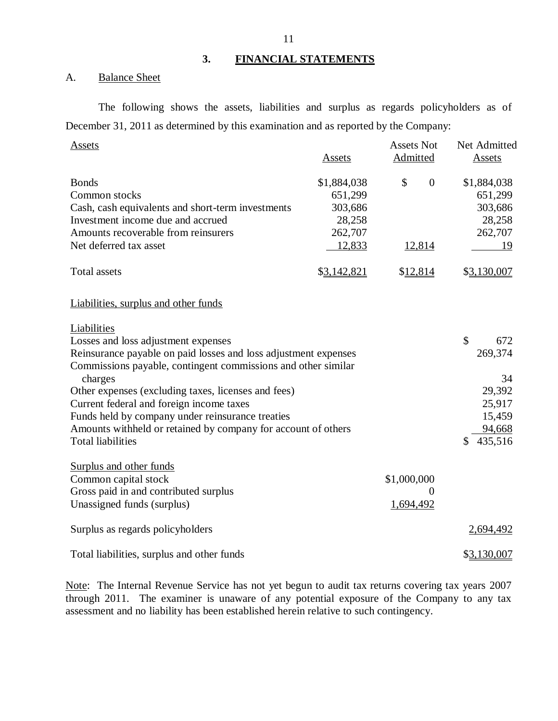# **3. FINANCIAL STATEMENTS**

# A. Balance Sheet

The following shows the assets, liabilities and surplus as regards policyholders as of December 31, 2011 as determined by this examination and as reported by the Company:

| Assets                                                          | <b>Assets</b> | <b>Assets Not</b><br>Admitted | Net Admitted<br><b>Assets</b> |
|-----------------------------------------------------------------|---------------|-------------------------------|-------------------------------|
|                                                                 |               |                               |                               |
| <b>Bonds</b>                                                    | \$1,884,038   | \$<br>$\boldsymbol{0}$        | \$1,884,038                   |
| Common stocks                                                   | 651,299       |                               | 651,299                       |
| Cash, cash equivalents and short-term investments               | 303,686       |                               | 303,686                       |
| Investment income due and accrued                               | 28,258        |                               | 28,258                        |
| Amounts recoverable from reinsurers                             | 262,707       |                               | 262,707                       |
| Net deferred tax asset                                          | 12,833        | 12,814                        | 19                            |
| <b>Total assets</b>                                             | \$3,142,821   | \$12,814                      | \$3,130,007                   |
| Liabilities, surplus and other funds                            |               |                               |                               |
| Liabilities                                                     |               |                               |                               |
| Losses and loss adjustment expenses                             |               |                               | \$<br>672                     |
| Reinsurance payable on paid losses and loss adjustment expenses |               |                               | 269,374                       |
| Commissions payable, contingent commissions and other similar   |               |                               |                               |
| charges                                                         |               |                               | 34                            |
| Other expenses (excluding taxes, licenses and fees)             |               |                               | 29,392                        |
| Current federal and foreign income taxes                        |               |                               | 25,917                        |
| Funds held by company under reinsurance treaties                |               |                               | 15,459                        |
| Amounts withheld or retained by company for account of others   |               |                               | 94,668                        |
| <b>Total liabilities</b>                                        |               |                               | 435,516<br>\$                 |
| Surplus and other funds                                         |               |                               |                               |
| Common capital stock                                            |               | \$1,000,000                   |                               |
| Gross paid in and contributed surplus                           |               | 0                             |                               |
| Unassigned funds (surplus)                                      |               | 1,694,492                     |                               |
| Surplus as regards policyholders                                |               |                               | 2,694,492                     |
| Total liabilities, surplus and other funds                      |               |                               | \$3,130,007                   |

Note: The Internal Revenue Service has not yet begun to audit tax returns covering tax years 2007 through 2011. The examiner is unaware of any potential exposure of the Company to any tax assessment and no liability has been established herein relative to such contingency.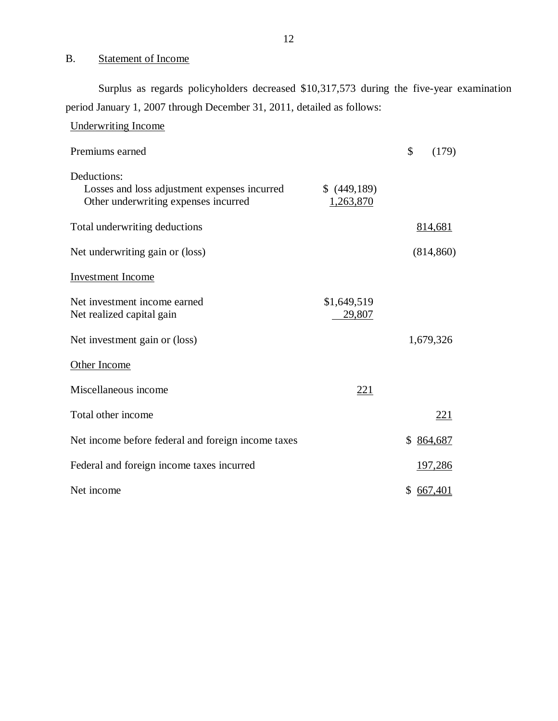# B. Statement of Income

Surplus as regards policyholders decreased \$10,317,573 during the five-year examination period January 1, 2007 through December 31, 2011, detailed as follows:

| <b>Underwriting Income</b>                                                                          |                            |                      |
|-----------------------------------------------------------------------------------------------------|----------------------------|----------------------|
| Premiums earned                                                                                     |                            | \$<br>(179)          |
| Deductions:<br>Losses and loss adjustment expenses incurred<br>Other underwriting expenses incurred | $$$ (449,189)<br>1,263,870 |                      |
| Total underwriting deductions                                                                       |                            | 814,681              |
| Net underwriting gain or (loss)                                                                     |                            | (814, 860)           |
| <b>Investment</b> Income                                                                            |                            |                      |
| Net investment income earned<br>Net realized capital gain                                           | \$1,649,519<br>29,807      |                      |
| Net investment gain or (loss)                                                                       |                            | 1,679,326            |
| Other Income                                                                                        |                            |                      |
| Miscellaneous income                                                                                | 221                        |                      |
| Total other income                                                                                  |                            | <u>221</u>           |
| Net income before federal and foreign income taxes                                                  |                            | \$864,687            |
| Federal and foreign income taxes incurred                                                           |                            | 197,286              |
| Net income                                                                                          |                            | \$<br><u>667,401</u> |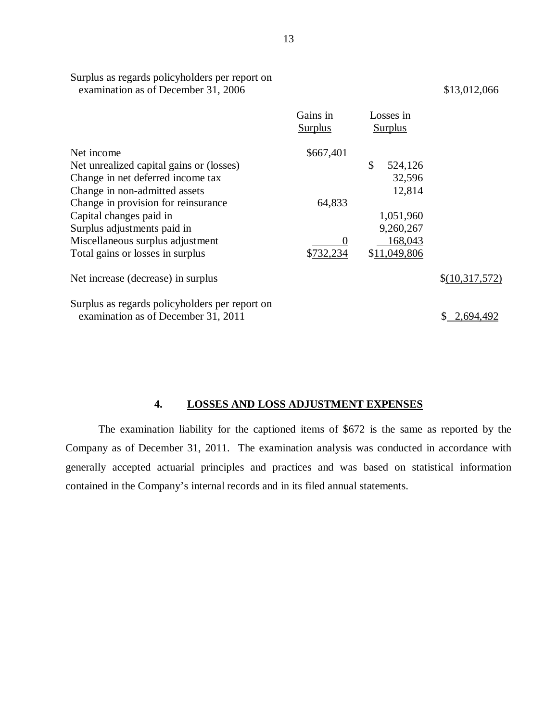|                                                | Gains in<br><b>Surplus</b> | Losses in<br><b>Surplus</b> |                |
|------------------------------------------------|----------------------------|-----------------------------|----------------|
| Net income                                     | \$667,401                  |                             |                |
| Net unrealized capital gains or (losses)       |                            | \$<br>524,126               |                |
| Change in net deferred income tax              |                            | 32,596                      |                |
| Change in non-admitted assets                  |                            | 12,814                      |                |
| Change in provision for reinsurance            | 64,833                     |                             |                |
| Capital changes paid in                        |                            | 1,051,960                   |                |
| Surplus adjustments paid in                    |                            | 9,260,267                   |                |
| Miscellaneous surplus adjustment               |                            | 168,043                     |                |
| Total gains or losses in surplus               | \$732,234                  | \$11,049,806                |                |
| Net increase (decrease) in surplus             |                            |                             | \$(10,317,572) |
| Surplus as regards policyholders per report on |                            |                             |                |
| examination as of December 31, 2011            |                            |                             | 2,694,492      |

**4. LOSSES AND LOSS ADJUSTMENT EXPENSES** 

The examination liability for the captioned items of \$672 is the same as reported by the Company as of December 31, 2011. The examination analysis was conducted in accordance with generally accepted actuarial principles and practices and was based on statistical information contained in the Company's internal records and in its filed annual statements.

Surplus as regards policyholders per report on examination as of December 31, 2006 \$13,012,066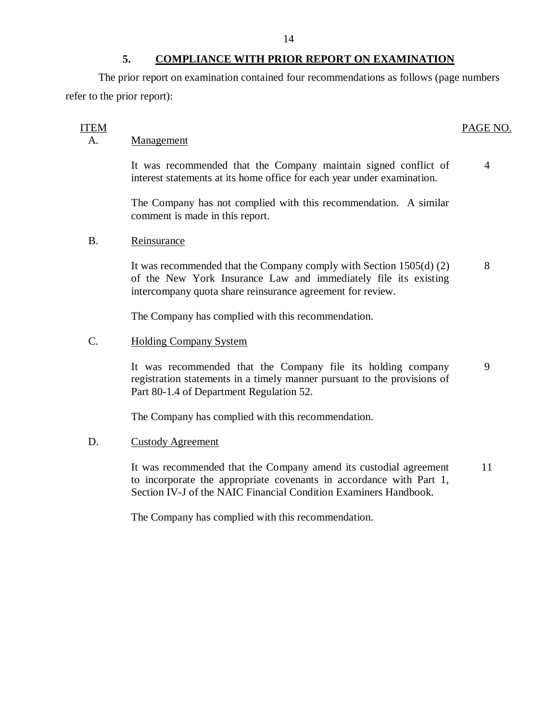# **5. COMPLIANCE WITH PRIOR REPORT ON EXAMINATION**

The prior report on examination contained four recommendations as follows (page numbers refer to the prior report):

# A. Management

It was recommended that the Company maintain signed conflict of 4 interest statements at its home office for each year under examination.

The Company has not complied with this recommendation. A similar comment is made in this report.

# B. Reinsurance

It was recommended that the Company comply with Section 1505(d) (2) 8 of the New York Insurance Law and immediately file its existing intercompany quota share reinsurance agreement for review.

The Company has complied with this recommendation.

# C. Holding Company System

It was recommended that the Company file its holding company 9 registration statements in a timely manner pursuant to the provisions of Part 80-1.4 of Department Regulation 52.

The Company has complied with this recommendation.

# D. Custody Agreement

It was recommended that the Company amend its custodial agreement 11 to incorporate the appropriate covenants in accordance with Part 1, Section IV-J of the NAIC Financial Condition Examiners Handbook.

The Company has complied with this recommendation.

### ITEM PAGE NO.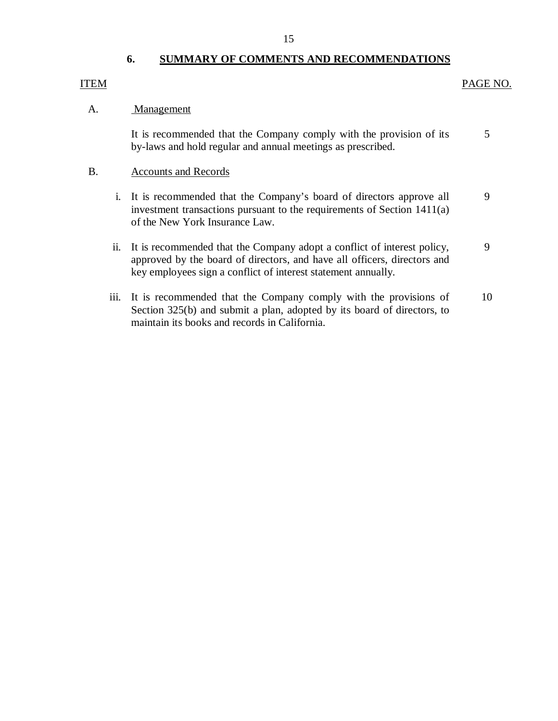# **6. SUMMARY OF COMMENTS AND RECOMMENDATIONS**

# ITEM PAGE NO.

#### A. Management

It is recommended that the Company comply with the provision of its by-laws and hold regular and annual meetings as prescribed. 5

#### B. Accounts and Records

- i. It is recommended that the Company's board of directors approve all investment transactions pursuant to the requirements of Section 1411(a) of the New York Insurance Law. 9
- ii. It is recommended that the Company adopt a conflict of interest policy, approved by the board of directors, and have all officers, directors and key employees sign a conflict of interest statement annually. 9
- iii. It is recommended that the Company comply with the provisions of Section 325(b) and submit a plan, adopted by its board of directors, to maintain its books and records in California. 10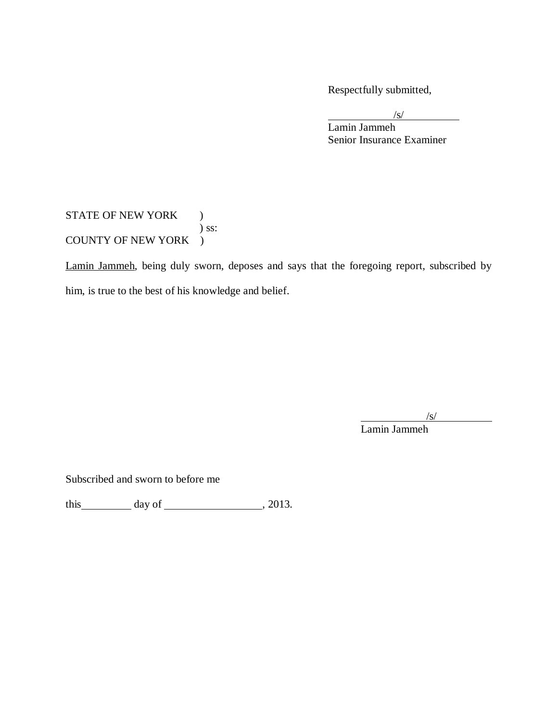Respectfully submitted,

 $\sqrt{s}$ /

Lamin Jammeh Senior Insurance Examiner

# STATE OF NEW YORK ) ) ss: COUNTY OF NEW YORK )

Lamin Jammeh, being duly sworn, deposes and says that the foregoing report, subscribed by him, is true to the best of his knowledge and belief.

 $\sqrt{s}$ /

Lamin Jammeh

Subscribed and sworn to before me

this  $\_\_\_\_\_\$  day of  $\_\_\_\_\_\_\_\_\$ , 2013.